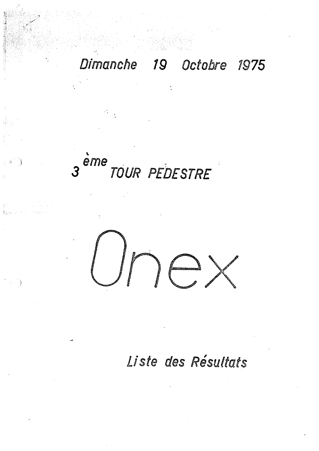## Dimanche 19 Octobre 1975

## eme<br>TOUR PEDESTRE

Liste des Résultats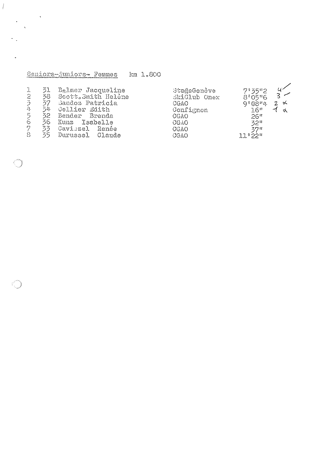Seniors-juniors- Femmes km 1.800

**Process** 

 $\gamma$  .

 $\ddot{\phantom{1}}$ 

t<br>Kalendar

 $\label{eq:2} \frac{1}{\lambda}\sum_{\mathbf{k},\mathbf{k}}\frac{1}{\lambda}\sum_{\mathbf{k},\mathbf{k}}\frac{1}{\lambda_{\mathbf{k}}^2}$ 

| 2<br>$\overline{3}$<br>$\mathcal{L}_\mathbf{r}$<br>5<br>$\overline{6}$<br>7 | 5J.<br>38<br>37<br>うな<br>32.<br>36<br>ろろ | Balmer Jacqueline<br>Scott. Smith Helène<br>Sandoz Patricia<br>Cellier Edith<br>Bender Brenda<br>Kunz Isabelle<br>Caviezel Renée | StağeGenève<br>SkiClub Onex<br><b>CGAO</b><br>Confignon<br>CGAO<br>GGAO<br><b>CGAO</b> | 7:35"2<br>$\mathbf{R}$ $\mathbf{Z}$<br>8°05"6<br>9.0844<br>$2 \times$<br>16"<br>26"<br>32 <sup>n</sup><br>ろワロ |
|-----------------------------------------------------------------------------|------------------------------------------|----------------------------------------------------------------------------------------------------------------------------------|----------------------------------------------------------------------------------------|---------------------------------------------------------------------------------------------------------------|
| $\mathfrak{S}$                                                              | ろら                                       | Durussel Claude                                                                                                                  | CGAO                                                                                   | $110$ 22 <sup>11</sup>                                                                                        |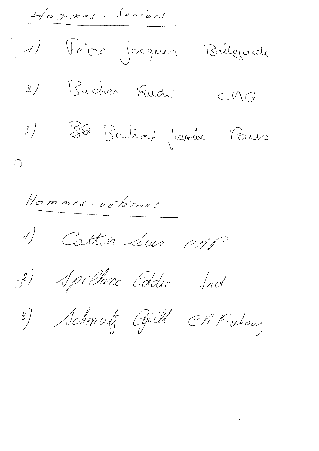$H\circ mmss -$  Seniers 1) Fêire Joeques Bellgard 2) Bucher Rudi  $CAG$ Bé Bertre; Jeanne Paris  $\frac{3}{ }$  $\bigcirc$ Hommes-vétérans Cattin Louis 01/1P  $\begin{matrix} \mathcal{A} \end{matrix}$ 3) Apillane Eddie Jnd. 3) Schmutz Gill CAFritous

 $\label{eq:2.1} \mathcal{L}(\mathcal{L}) = \mathcal{L}(\mathcal{L}) \mathcal{L}(\mathcal{L}) \mathcal{L}(\mathcal{L})$ 

 $\mathcal{L}(\mathcal{L}^{\mathcal{L}})$  and  $\mathcal{L}(\mathcal{L}^{\mathcal{L}})$  and  $\mathcal{L}(\mathcal{L}^{\mathcal{L}})$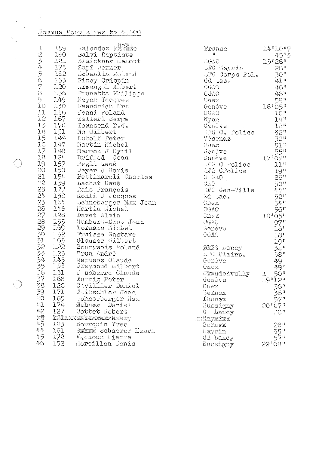## Hommes Populaires km 4.400

 $\mathbf{v}^{\prime}$ 

Į. 

 $\mathbf{A}$ 

|                          |                   | Ralendez Ranke<br>1 159 Malendez Range<br>2 160 Salvi Baptiste<br>121 Blaickner Helm<br>175 Zapf Jerner<br>162 Schaulin Rolan<br>155 Piney Crispin<br>176 Armengol Alber<br>176 Prunetta Phili<br>176 Prunetta Phili<br>176 Bendrich Urs<br>176 Jenni Roland<br>12 167 | France                                                                                            | $14$ <sup>3</sup> $10$ <sup>11</sup> 7                                                                                                                                                                                                                                                                              |
|--------------------------|-------------------|------------------------------------------------------------------------------------------------------------------------------------------------------------------------------------------------------------------------------------------------------------------------|---------------------------------------------------------------------------------------------------|---------------------------------------------------------------------------------------------------------------------------------------------------------------------------------------------------------------------------------------------------------------------------------------------------------------------|
|                          |                   | 160 Salvi Baptiste                                                                                                                                                                                                                                                     | $\mathbf{H}$                                                                                      |                                                                                                                                                                                                                                                                                                                     |
|                          |                   | 121 Blaickner Helmut                                                                                                                                                                                                                                                   | $GAD$ and $GAD$ and $GAD$                                                                         | 15°26"                                                                                                                                                                                                                                                                                                              |
|                          |                   |                                                                                                                                                                                                                                                                        | JFG Meyrin<br>JFG Corps Pol. 30"                                                                  |                                                                                                                                                                                                                                                                                                                     |
|                          |                   | 162 Schaulin Roland                                                                                                                                                                                                                                                    |                                                                                                   |                                                                                                                                                                                                                                                                                                                     |
|                          |                   |                                                                                                                                                                                                                                                                        |                                                                                                   |                                                                                                                                                                                                                                                                                                                     |
|                          |                   |                                                                                                                                                                                                                                                                        | $Gd = 20.$                                                                                        | 41 =                                                                                                                                                                                                                                                                                                                |
|                          |                   | Armengol Albert                                                                                                                                                                                                                                                        | CGAO                                                                                              | 46"                                                                                                                                                                                                                                                                                                                 |
|                          |                   | Prunetta Fhilippe                                                                                                                                                                                                                                                      | <b>CGAO</b>                                                                                       | 48"                                                                                                                                                                                                                                                                                                                 |
|                          |                   |                                                                                                                                                                                                                                                                        | Onex                                                                                              |                                                                                                                                                                                                                                                                                                                     |
|                          |                   |                                                                                                                                                                                                                                                                        | Gendve                                                                                            |                                                                                                                                                                                                                                                                                                                     |
|                          |                   |                                                                                                                                                                                                                                                                        | CGAO                                                                                              | $16^{100}$<br>$16^{105}$                                                                                                                                                                                                                                                                                            |
|                          |                   |                                                                                                                                                                                                                                                                        | Nyon                                                                                              | $\frac{1}{1}$ $\frac{1}{4}$ $\frac{1}{4}$ $\frac{1}{4}$ $\frac{1}{4}$ $\frac{1}{4}$ $\frac{1}{4}$ $\frac{1}{4}$ $\frac{1}{4}$ $\frac{1}{4}$ $\frac{1}{4}$ $\frac{1}{4}$ $\frac{1}{4}$ $\frac{1}{4}$ $\frac{1}{4}$ $\frac{1}{4}$ $\frac{1}{4}$ $\frac{1}{4}$ $\frac{1}{4}$ $\frac{1}{4}$ $\frac{1}{4}$ $\frac{1}{4}$ |
|                          |                   |                                                                                                                                                                                                                                                                        | Genève                                                                                            | 16 <sup>n</sup>                                                                                                                                                                                                                                                                                                     |
|                          |                   | 13 170 Townsend D.W.<br>14 151 Mo Gilbert<br>151 Mo Gilbert                                                                                                                                                                                                            | GFG C. Police                                                                                     |                                                                                                                                                                                                                                                                                                                     |
|                          | $15 - 144$        | Lutolf Peter                                                                                                                                                                                                                                                           | Vésenaz                                                                                           | $\frac{32\pi}{38}$                                                                                                                                                                                                                                                                                                  |
|                          |                   | 16 147 Martin Michel                                                                                                                                                                                                                                                   |                                                                                                   |                                                                                                                                                                                                                                                                                                                     |
|                          |                   | 17 148 Mermoz J Cyril                                                                                                                                                                                                                                                  |                                                                                                   |                                                                                                                                                                                                                                                                                                                     |
|                          |                   |                                                                                                                                                                                                                                                                        |                                                                                                   |                                                                                                                                                                                                                                                                                                                     |
|                          |                   | 18 124 Briffod Jean                                                                                                                                                                                                                                                    |                                                                                                   |                                                                                                                                                                                                                                                                                                                     |
|                          |                   |                                                                                                                                                                                                                                                                        |                                                                                                   |                                                                                                                                                                                                                                                                                                                     |
|                          |                   |                                                                                                                                                                                                                                                                        | <i>SPG</i> CPolice                                                                                |                                                                                                                                                                                                                                                                                                                     |
|                          |                   |                                                                                                                                                                                                                                                                        |                                                                                                   |                                                                                                                                                                                                                                                                                                                     |
|                          |                   |                                                                                                                                                                                                                                                                        | 20"<br>denéve 17'07"<br>21"<br>25"<br>27'07"<br>27'07"<br>27'07"<br>37G CPolice 10"<br>38G<br>38G |                                                                                                                                                                                                                                                                                                                     |
|                          |                   |                                                                                                                                                                                                                                                                        | JFG Gen-Ville                                                                                     | $L_{\mu}L_{\mu}$ ii                                                                                                                                                                                                                                                                                                 |
|                          |                   | 19 157 Regli René<br>20 150 <i>Regli René</i><br>21 154 Pettinaroli Charles<br>22 159 Lachat René<br>23 177 Rais Prançois<br>24 138 Kohli J Jacques<br>24 138 Kohli J Jacques                                                                                          | $Gd$ $3a$ .                                                                                       | $\frac{52\pi}{54\pi}$                                                                                                                                                                                                                                                                                               |
|                          |                   | 25 164 Schneberger Max Jean<br>26 146 Hartin Michel<br>27 123 Davet Alain<br>28 135 Humbert-Droz Jean                                                                                                                                                                  | Cnex                                                                                              |                                                                                                                                                                                                                                                                                                                     |
|                          |                   |                                                                                                                                                                                                                                                                        | CGAO                                                                                              | 56 <sup>n</sup>                                                                                                                                                                                                                                                                                                     |
|                          |                   |                                                                                                                                                                                                                                                                        | Cnex                                                                                              |                                                                                                                                                                                                                                                                                                                     |
|                          |                   |                                                                                                                                                                                                                                                                        | CGAO.                                                                                             | $\begin{array}{r} 13 \, \stackrel{05}{\sim} \, 07 \, \stackrel{07}{\sim} \, \\ 1 \stackrel{07}{\rightarrow} \, \\ 1 \stackrel{0}{\rightarrow} \, \\ \end{array}$                                                                                                                                                    |
|                          | 169               | Tornare Michel                                                                                                                                                                                                                                                         | Genève                                                                                            |                                                                                                                                                                                                                                                                                                                     |
|                          |                   | Fraisse Gustave                                                                                                                                                                                                                                                        |                                                                                                   |                                                                                                                                                                                                                                                                                                                     |
|                          | 132               |                                                                                                                                                                                                                                                                        | GGAO                                                                                              | 18 <sup>n</sup>                                                                                                                                                                                                                                                                                                     |
|                          | 163               | Glauser Gilbert                                                                                                                                                                                                                                                        |                                                                                                   |                                                                                                                                                                                                                                                                                                                     |
| 23333333356              | 1.22              | Bourgeois Roland                                                                                                                                                                                                                                                       | EXPt Lancy                                                                                        | $\frac{19}{31}$<br>$\frac{31}{38}$<br>$\frac{8}{38}$                                                                                                                                                                                                                                                                |
|                          | 125               | Brun André                                                                                                                                                                                                                                                             | SPG Plainp.                                                                                       |                                                                                                                                                                                                                                                                                                                     |
|                          | $\frac{145}{133}$ | Martens Claude                                                                                                                                                                                                                                                         | Genève                                                                                            | 49<br>49#                                                                                                                                                                                                                                                                                                           |
|                          |                   | Freymond Gilbert                                                                                                                                                                                                                                                       | <b>Cnox</b>                                                                                       |                                                                                                                                                                                                                                                                                                                     |
|                          | 131               | r' ucherre Claude                                                                                                                                                                                                                                                      | CinadeAvully                                                                                      | 50 <sup>n</sup><br>$\Lambda$                                                                                                                                                                                                                                                                                        |
|                          | 37 168            | Turrig Peter                                                                                                                                                                                                                                                           | Genève                                                                                            | 19°12"                                                                                                                                                                                                                                                                                                              |
| $\mathcal{Z}\mathcal{S}$ | 126               | Cavillier Daniel                                                                                                                                                                                                                                                       | Onex                                                                                              | 36"                                                                                                                                                                                                                                                                                                                 |
| 39                       | 171               | Tritschler Jean                                                                                                                                                                                                                                                        | Bernex                                                                                            | 56"                                                                                                                                                                                                                                                                                                                 |
| 4.Q                      | 165               | bchneeberger Hax                                                                                                                                                                                                                                                       | Phonex                                                                                            | $57^n$                                                                                                                                                                                                                                                                                                              |
| 41                       | 174               | Wahner Daniel                                                                                                                                                                                                                                                          | Bussigny                                                                                          | 20107"                                                                                                                                                                                                                                                                                                              |
| 42                       | 127               | Cottet Robert                                                                                                                                                                                                                                                          | G Lancy                                                                                           | 28                                                                                                                                                                                                                                                                                                                  |
| ilü                      |                   | <u> LGL×xxdebaarrerxHenry</u>                                                                                                                                                                                                                                          |                                                                                                   |                                                                                                                                                                                                                                                                                                                     |
| 43                       |                   |                                                                                                                                                                                                                                                                        | . interverint                                                                                     |                                                                                                                                                                                                                                                                                                                     |
| 44                       | 123               | Bourquin Yves                                                                                                                                                                                                                                                          | Bernex                                                                                            | 28#                                                                                                                                                                                                                                                                                                                 |
|                          | 161               | SENNE Schaerer Henri                                                                                                                                                                                                                                                   | Heyrin                                                                                            | 55 <sup>n</sup>                                                                                                                                                                                                                                                                                                     |
| $\mu$ 5                  | 172               | Vochoux Pierre                                                                                                                                                                                                                                                         | Gd Lancy                                                                                          | 57"                                                                                                                                                                                                                                                                                                                 |
| 46                       | -152              | Horeillon Denis                                                                                                                                                                                                                                                        | Bussigny                                                                                          | 22 <sup>8</sup> 08 <sup>11</sup>                                                                                                                                                                                                                                                                                    |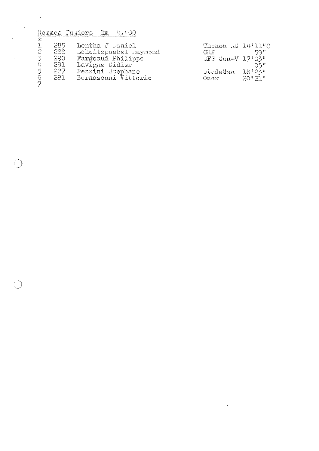Hommes Jumiors Fm 4.400

 $\mathcal{A}^{\mathcal{A}}$ 

 $\ddot{\phantom{0}}$ 

|             | 285. | Lentha J Daniel       | Thonon AC 14'11"8                        |                |
|-------------|------|-----------------------|------------------------------------------|----------------|
| -2          | 288  | Schwitzguebel Raymond | GLP                                      | -5011          |
| -3          | 290  | Fargeaud Philippe     | $\bigcup G$ den=V $17^{\circ}03^{\circ}$ |                |
| $L_{\rm P}$ | -291 | Lavigne Didier        |                                          | $O5^{\rm m}$   |
| 5           | 287. | Pezzini stephane      | stadeGen 18'23"                          |                |
| 6.          | 281  | Bernasconi Vittorio   | Onex                                     | $20^{0}21^{6}$ |
| - 7         |      |                       |                                          |                |

 $\downarrow$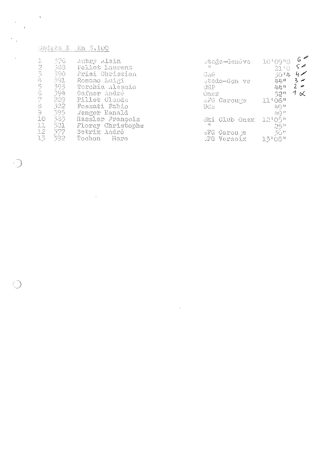| Gadets K Kn 3.100<br>In a man inconduction and the foremore management through the company of the conduction of |  |
|-----------------------------------------------------------------------------------------------------------------|--|

 $\label{eq:2.1} \mathcal{L}(\mathcal{L}^{\text{max}}_{\mathcal{L}}(\mathcal{L}^{\text{max}}_{\mathcal{L}}(\mathcal{L}^{\text{max}}_{\mathcal{L}}(\mathcal{L}^{\text{max}}_{\mathcal{L}^{\text{max}}_{\mathcal{L}}(\mathcal{L}^{\text{max}}_{\mathcal{L}^{\text{max}}_{\mathcal{L}^{\text{max}}_{\mathcal{L}^{\text{max}}_{\mathcal{L}^{\text{max}}_{\mathcal{L}^{\text{max}}_{\mathcal{L}^{\text{max}}_{\mathcal{L}^{\text{max}}_{\mathcal{L}^{\text{max}}$ 

C

| Ja<br>$\mathbb{C}$<br>J,<br>$\sum_{i=1}^n$<br>$\sum_{i=1}^{n}$<br>6<br>7<br>8<br>9<br>10<br>11<br>12 | -376<br>Aubry Alain<br>388<br>Pellet Laurent<br>Prisi Christian<br>390.<br>391.<br>Romano Luigi<br>393.<br>Torchia Alessio<br>594<br>Gafner André<br>289<br>Pillet Claude<br>382<br>Fossati Fabio<br>395.<br>Jenger Renald<br>383.<br>Hassler François<br>331<br>Florey Christophe<br>377<br>Betrix André | staĝe-Genève<br>-£≜<br>GAG.<br>otade-Gen ve<br><b>CHP</b><br>Onex.<br>SFG Carouge<br>UGS<br>Ski Club Onex<br>碧<br>oFG Carouge | 10'09"8<br>21'0<br>-50%4<br>$\underline{l} 1 \underline{l} 1 \underline{l} 1$<br>44#<br>52"<br>11'06''<br>$\langle \downarrow \left\langle \cdot \right\rangle$ if<br>$\mathcal{L}(\mathbb{Q})^{\text{th}}$<br>$12^{4}$ O <sub>5</sub> <sup><math>\mu</math></sup><br>25*<br>-36# | 6 <sup>4</sup><br>$\varsigma$<br>$4 \times$<br>$3 \ge$<br>1 ∝ |
|------------------------------------------------------------------------------------------------------|-----------------------------------------------------------------------------------------------------------------------------------------------------------------------------------------------------------------------------------------------------------------------------------------------------------|-------------------------------------------------------------------------------------------------------------------------------|-----------------------------------------------------------------------------------------------------------------------------------------------------------------------------------------------------------------------------------------------------------------------------------|---------------------------------------------------------------|
| $\mathbb{R}^{n}$                                                                                     | 392<br>Tochon<br>Narc                                                                                                                                                                                                                                                                                     | SFG Versoix                                                                                                                   | $13^{\circ}08^{\circ}$                                                                                                                                                                                                                                                            |                                                               |

 $\label{eq:2.1} \frac{1}{\sqrt{2}}\left(\frac{1}{\sqrt{2}}\right)^{2} \left(\frac{1}{\sqrt{2}}\right)^{2} \left(\frac{1}{\sqrt{2}}\right)^{2} \left(\frac{1}{\sqrt{2}}\right)^{2} \left(\frac{1}{\sqrt{2}}\right)^{2} \left(\frac{1}{\sqrt{2}}\right)^{2} \left(\frac{1}{\sqrt{2}}\right)^{2} \left(\frac{1}{\sqrt{2}}\right)^{2} \left(\frac{1}{\sqrt{2}}\right)^{2} \left(\frac{1}{\sqrt{2}}\right)^{2} \left(\frac{1}{\sqrt{2}}\right)^{2} \left(\$ 

 $\mathcal{F}^{\prime}$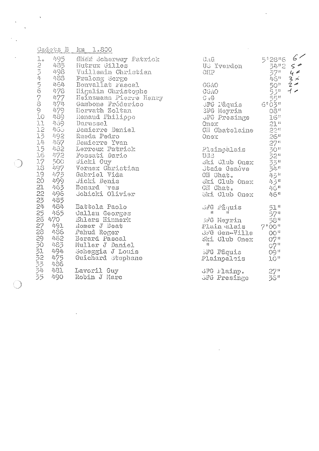|                                                                                                  | Gadets B km 1.800                                                                                                                                                                                                                                                                                                                                                                                                 |                                                                                                                                                                                                                                                                                                                                                                                                                                                                                          |                                                                                                                                                         |
|--------------------------------------------------------------------------------------------------|-------------------------------------------------------------------------------------------------------------------------------------------------------------------------------------------------------------------------------------------------------------------------------------------------------------------------------------------------------------------------------------------------------------------|------------------------------------------------------------------------------------------------------------------------------------------------------------------------------------------------------------------------------------------------------------------------------------------------------------------------------------------------------------------------------------------------------------------------------------------------------------------------------------------|---------------------------------------------------------------------------------------------------------------------------------------------------------|
| $\mathbb{L}_{\circlearrowright}$<br>11<br>$12 - 465$                                             | 495 Kheif Scherwey Patrick<br>1. (472)<br>2 485 Mutrux Gilles<br>3 498 Vuillemin Christian<br>4 488 Pralong Serge<br>5 464 Bonvallat Pascal<br>6 478 Higelin Christophe<br>7 477 Heinzmann Pierre Henry<br>8 474 Gambone Fréderico<br>9 479 Horvath Zoltan<br>10 489 Renaud Ph<br>459 Durussel<br>Demierre Daniel<br>13 492 Rueda Pedro<br>14 467 Demierre Yvan<br>15 482 Lerroux Patrick<br>16 472 Fossati Dario | GLG<br>US Yverdon<br>GHP<br><b>CGAO</b><br>$\begin{array}{lll} & & & & 20^n\\ & & & 53^n\\ \text{JFG }\text{V\&quis} & & 55^m\\ \text{JFG }\text{Meyrin} & & 6^0O\frac{7}{3}^n\\ \text{JFG }\text{Meyrin} & & 08^n\\ \text{JFG }\text{Presinge} & & 16^n\\ \text{Onex} & & 23^n\\ \text{JH }\text{Ghatedair} & & & \\ \text{Meyr} & & & \\ \end{array}$<br>Onex.<br>Plainpalais<br>UGB                                                                                                   | 6<<br>5"28"6<br>$\frac{34.52}{37.5}$<br>$\zeta \neq$<br>4 <sup>2</sup><br>$3 \times$<br>50 <sup>H</sup><br>$2 \leq$<br>$\rightarrow$<br>26 <sup>n</sup> |
| 18                                                                                               | 17 500 Wicki Guy<br>497 Vernex Christian<br>19 473 Gabriel Vida<br>20 499 Jicki Denis<br>21 463 Bonard ves                                                                                                                                                                                                                                                                                                        | ski Club Onex<br>Jtade Genòve<br>CH Ohat.<br>ski Club Onex                                                                                                                                                                                                                                                                                                                                                                                                                               | 270234<br>$\frac{\bar{4}5^n}{45^n}$                                                                                                                     |
| $22 - 496$                                                                                       | Schicki Olivier<br>Battola Paolo                                                                                                                                                                                                                                                                                                                                                                                  | CH Chat.<br>Ski Club Onex                                                                                                                                                                                                                                                                                                                                                                                                                                                                | $4.6$ $^{\rm H}$<br>46"<br>$51$ "                                                                                                                       |
| 23<br>24<br>25<br>26<br>470<br>26<br>470<br>491<br>2229012345<br>486<br>462<br>483<br>494<br>475 | 465 Jallau Georges<br>Ehlers Hinnerk<br>Romer J Beat<br>Pahud Roger<br>Pahud Roger<br>Berard Pascal<br>Muller J Daniel<br>Scheggia J Louis<br>Guichard Stephane                                                                                                                                                                                                                                                   | $\mathcal{A}$ $\mathcal{A}$ $\mathcal{A}$ $\mathcal{A}$ $\mathcal{A}$ $\mathcal{A}$ $\mathcal{A}$ $\mathcal{A}$ $\mathcal{A}$ $\mathcal{A}$ $\mathcal{A}$ $\mathcal{A}$ $\mathcal{A}$ $\mathcal{A}$ $\mathcal{A}$ $\mathcal{A}$ $\mathcal{A}$ $\mathcal{A}$ $\mathcal{A}$ $\mathcal{A}$ $\mathcal{A}$ $\mathcal{A}$ $\mathcal{A}$ $\mathcal{A}$ $\mathcal{$<br>SPG Neyrin<br>Plain alais 7'00"<br>SPG Gen-Ville 00"<br>Ski Club Onex<br>$\mathbf{f}$<br><b>SFG Pâquis</b><br>Plainpalais | $\frac{57}{58}$ <sup>n</sup><br>07"<br>$\mathbb{G} \tilde{Z}^{\mathrm{H}}$<br>09 <sup>11</sup><br>10 <sup>n</sup>                                       |
| 486<br>481<br>490                                                                                | Lavoril Guy<br>Robin J Marc                                                                                                                                                                                                                                                                                                                                                                                       | GFG Flainp.<br><b><i>GFG Presinge</i></b>                                                                                                                                                                                                                                                                                                                                                                                                                                                | 27 <sup>n</sup><br>$56$ <sup>n</sup>                                                                                                                    |

 $\mathcal{L}^{\mathcal{L}}(\mathcal{L}^{\mathcal{L}}(\mathcal{L}))$ 

 $\label{eq:2} \frac{1}{\sqrt{2\pi}}\left(\frac{1}{\sqrt{2\pi}}\right)^{1/2}\frac{1}{\sqrt{2\pi}}\,.$ 

 $\frac{1}{\sqrt{2}}$ 

 $\mathcal{L}$ 

Đ,

 $\sim 100$  km s  $^{-1}$ 

 $\sim 10^{11}$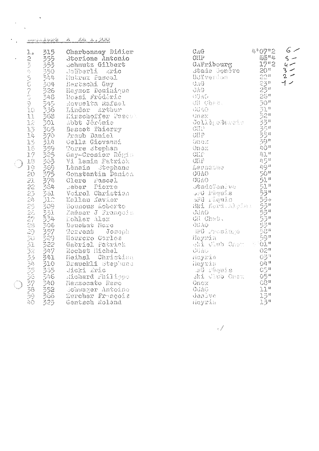|                                                                                                             | . الْمَثَلُ اللَّهُ قَتْلُهُ عَلَيْهِ مِنْ مَنْ السَّامَةِ الْمُتَامَّةِ الْمُتَامَّةِ الْمُتَامَّةِ | <u>لگاف ، شاه هند</u><br>$\mathbb{Z}^{\mathbb{Z}}$ .                                                                                                                                                                                                                                                                                                                                                                                                                                                                                                                                                                                                                                                                                                                                                                                                                                                                                                                                                           |                                                                                                                                                                                                                                                                                                                                                                                                                                                                                                                                                                                                                                                                                            |                                                                                                                                                                                                              |                                               |
|-------------------------------------------------------------------------------------------------------------|------------------------------------------------------------------------------------------------------|----------------------------------------------------------------------------------------------------------------------------------------------------------------------------------------------------------------------------------------------------------------------------------------------------------------------------------------------------------------------------------------------------------------------------------------------------------------------------------------------------------------------------------------------------------------------------------------------------------------------------------------------------------------------------------------------------------------------------------------------------------------------------------------------------------------------------------------------------------------------------------------------------------------------------------------------------------------------------------------------------------------|--------------------------------------------------------------------------------------------------------------------------------------------------------------------------------------------------------------------------------------------------------------------------------------------------------------------------------------------------------------------------------------------------------------------------------------------------------------------------------------------------------------------------------------------------------------------------------------------------------------------------------------------------------------------------------------------|--------------------------------------------------------------------------------------------------------------------------------------------------------------------------------------------------------------|-----------------------------------------------|
| $\mathbb{L}_\mathfrak{o}$<br>2345676011111111<br>17<br>$\frac{18}{19}$<br>21.<br>22222222222235333353533333 | 315<br>555304<br>$-505$<br>535354.                                                                   | Charbonney Didier<br>Storione Antonio<br>Scüberli Eric<br>Saüberli Eric<br>Hutrux Fascal<br>Bertschi Guy<br>Haymoz Dominique<br>Rossi Frédéric<br>Rossi Frédéric<br>Rossi Frédéric<br>Rossi Frédéric<br>1944 – Hutrux Fascal<br>304 – Bertschi Guy<br>326 – Haymoz Dominique<br>348 – Rossi Frédéric<br>349 – Rossi Frédéric<br>356 – Linder Arthur<br>368 – Kirschoffer Pascal<br>301 – Abbt Jórómie<br>301 – Abbt Jórómie<br>301 – Abbt Jórómie<br>Abbt Jérómie<br>Basset Thierry<br>Traub Daniel<br>Cella Giovanni<br>Corre stephan<br>Gay-Crosier Régio<br>Vi lemin Patrick<br>Tienin Patrick<br>Lènain Stephane<br>Constantin Damien<br>Clerc Pascel<br>Meber Pierre<br>eber Pierre<br>Voirol Christian<br>Kallau Kavier<br>Kallau Mavier<br>Bounous hoberto<br>Ka <mark>åser J Fra</mark> nçois<br>Kohler Alex<br>Beuchat Marc<br>Terrent Joseph<br>Herrero Carlos<br>Herrero <i>vittick</i><br>Gabriel Patrick<br>I Thet Michel<br>Rochat Michel<br>Heihsl Christian<br>Brauckli stepland<br>dicki Eric | CAG<br>$\text{GHF}$<br>CAPribourg<br>Stade Gondro<br>Stade Gondvo<br>USYverdon<br>CAG<br>GAG<br>OAQ<br>OGAO<br>Cil Chab.<br><b>CONSTRUCTION</b><br>Onex<br>Collè <sub>li</sub> oNaucis<br>$\frac{\text{GHP}}{\text{GMP}}$<br>Onek<br>Onex<br><b>CHIP</b><br>GHP 41"<br>GHP 45"<br>Leusanne 49"<br>CGAO<br>CGAO 51" 501"<br>SkadeSenève 51" "<br>SkadeSenève 51" "<br>SkadeSenève 51" "<br>SkadeSenève 533"<br>Ska Kord-Alpins 5333"<br>CGAO<br>Heyrin 32" 593"<br>Meyrin 32"<br>Meyrin 32"<br>CGAO<br>Heyrin 02"<br>Nevrin<br>BradeGenève<br>BradeGenève<br>Brade Fâquis<br>Bri Kord.Alpins<br>Bri Kord.Alpins<br>CGAO<br>CGAO<br>Brades<br>Moyric<br>Heyrin<br>AG Päquis<br>Ski Jlub Onex | $4°07"2$<br>$\frac{16}{100}$<br>$1720$<br>$2023555$<br>$22555$<br>$22555$<br>$50^{\rm H}$<br>$\overline{31}$ <sup>u</sup><br>23235590<br>$\mathfrak{U} \mathfrak{U}$ "<br>$03$ "<br>$Q\bar{Q}$ <sup>11</sup> | $6-$<br>$s -$<br>$4-$<br>$3 -$<br>$2 -$<br>イン |
| $4\circ$                                                                                                    | $34020$<br>$3520$<br>325                                                                             | Jicki Eric<br>Richard Fhilippe<br>Mazzocato Remo<br>Schwager Antoine<br>Zurcher François<br>Contsch Roland<br>Gentsch Roland                                                                                                                                                                                                                                                                                                                                                                                                                                                                                                                                                                                                                                                                                                                                                                                                                                                                                   | <b>Onex</b><br>OGAC<br>Genàve<br>Heyrin                                                                                                                                                                                                                                                                                                                                                                                                                                                                                                                                                                                                                                                    | $\frac{105}{105}$<br>$\frac{1}{105}$<br>$\frac{1}{105}$<br>11 <sup>ii</sup><br>$15^{\rm u}$<br>$15^n$                                                                                                        |                                               |

 $\mathcal{A}^{\mathcal{A}}$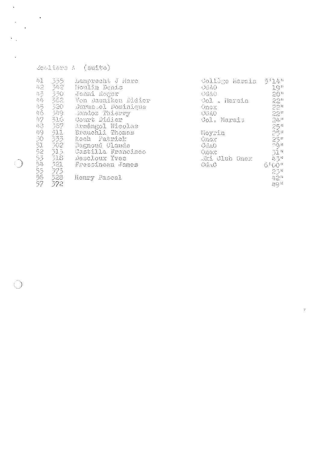| $\triangle$ ooliers A (suite) |  |  |
|-------------------------------|--|--|

 $\bigcirc$ 

**Call** 

| $\mathcal{Q}_{\mathcal{V},\mathbf{L}}$          | 335    | Lamprecht J Marc    | Collège Harais | 5'14''                                             |
|-------------------------------------------------|--------|---------------------|----------------|----------------------------------------------------|
| $42$                                            | - 342. | Houlin Denis        | CGAO           | 19"                                                |
| $\langle \sum_{j}$                              | 330    | Jenni Roger         | CGAO           |                                                    |
| $\mathcal{Q}_\mathrm{r} \mathcal{Q}_\mathrm{r}$ | 362    | Von Daeniken Didier | Col . Marais   |                                                    |
| 45                                              | -320   | Durussel Dominique  | Onex           |                                                    |
| 46                                              | - 349  | Sandoz Thierry      | CUAO           |                                                    |
| 47                                              | 316    | Gourt Didier        | Col. Marais    | $24^{11}$                                          |
| $48$                                            | 367    | Arméngol Nicolas    |                | $25$ <sup>n</sup>                                  |
| 49                                              | 511    | Brauchli Thomas     | Moyrin         | $25^{\circ}$                                       |
| 90                                              | 333    | Koch Patrick        | <b>Onox</b>    | $\frac{25}{25}$<br>$\frac{1}{31}$<br>$\frac{1}{1}$ |
| 5234                                            | - 302  | Bagnoud Claude      | CGAO           |                                                    |
|                                                 | -315   | Castilla Francisco  | Onex.          |                                                    |
|                                                 | - 318  | Descloux Yves       | Ski Club Onex  | 寿号片                                                |
|                                                 | -321.  | - Fressineau James  | CGAO           | 6"00"                                              |
| 55                                              | - 373  |                     |                | $23^{\circ}$                                       |
| $-56$                                           | - 328  | Henry Pascal        |                | 42"                                                |
| -57                                             | 372    |                     |                | $\mu$                                              |
|                                                 |        |                     |                |                                                    |

 $\mathcal{S}^{\mathcal{C}}$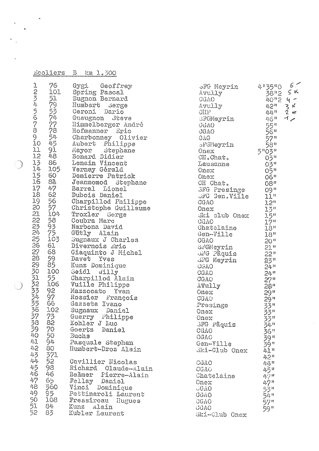|                | Ecoliers B km 1.300 |                                 |                                             |  |
|----------------|---------------------|---------------------------------|---------------------------------------------|--|
|                |                     | Spring Pascal                   | Gygi Geoffrey                               |  |
|                |                     | Bugnon Bernard                  |                                             |  |
|                |                     | Humbert Serge                   |                                             |  |
|                |                     | Geroni Dario                    |                                             |  |
|                |                     |                                 | Gueugnon Steve                              |  |
|                |                     |                                 | Himmelberger André<br>Hofmanner Eric        |  |
|                |                     |                                 | Charbonney Olivier                          |  |
|                |                     |                                 | Aubert Philippe                             |  |
|                |                     |                                 | Mayor Stephane                              |  |
|                |                     | Bonard Didier                   |                                             |  |
|                |                     | Lenain Vincent<br>Vernay Gérald |                                             |  |
|                |                     |                                 | Demierre Patrick                            |  |
|                |                     |                                 | Jeanmomod Stephane                          |  |
|                |                     | Barral Lionel                   |                                             |  |
|                |                     | Dubois Daniel                   |                                             |  |
|                |                     |                                 | Charpillod Philippe                         |  |
|                |                     | Troxler Serge                   | Christophe Guillaume                        |  |
|                |                     | Coubra Marc                     |                                             |  |
|                |                     | Narbona David                   |                                             |  |
|                |                     | Gütly Alain                     |                                             |  |
|                |                     |                                 | Sugnaux J Charles                           |  |
|                |                     | Divernois Eric                  | Giaquinto J Michel                          |  |
|                |                     | Davet Yves                      |                                             |  |
|                |                     | Kunz Dominique                  |                                             |  |
|                |                     | Seidl                           | W111y                                       |  |
|                |                     |                                 | Charpillod Alain                            |  |
|                |                     | Mazzocato                       | Vuille Philippe                             |  |
|                |                     |                                 | Yvan<br>Rossier François                    |  |
|                |                     | Gazzeta Ivano                   |                                             |  |
| 36<br>102      |                     |                                 | Sugnaux Daniel                              |  |
| 37 73          |                     |                                 | Guerry Philippe                             |  |
| 38 82<br>39 70 |                     | Kohler J Luc<br>Goertz Daniel   |                                             |  |
| 40 50          | Buchs               |                                 |                                             |  |
| 41 94          |                     |                                 | Pasquale Stephan                            |  |
| 42 80          |                     |                                 | Humbert-Droz Alain                          |  |
| 43 371         |                     |                                 |                                             |  |
| 44 52          |                     |                                 | Cavillier Nicolas                           |  |
| 45 98<br>46 46 |                     |                                 | Richard Claude-Alain<br>Bammer Pierre-Alain |  |
| 47 65          |                     | Fellay Daniel                   |                                             |  |
| 48 360         |                     |                                 | Vinci Dominique                             |  |
| 49 95          |                     |                                 | Pettinaroli Laurent                         |  |
| 51 84          |                     |                                 | 50 108 Fressireau Hugues                    |  |
| 52 83          |                     | Kunz Alain<br>Kubler Laurent    |                                             |  |
|                |                     |                                 |                                             |  |

| SFG Meyrin<br>Avully<br>GGAO<br>Avully<br>CIII <sub>P</sub><br>SFGMeyrin<br>GGAO<br>CGAO<br>CAG<br><b><i><u>d'GNeyrin</u></i></b><br>Onex<br>CII.Chat.<br>Lausanne<br>Onex<br>Onex<br>CH Chat.<br><b>SFG Presinge</b><br><b>JFG Gen.Ville</b><br>CGAO<br>Onex<br>Ski club Onex<br>CGAO<br>Chatelaine<br>Gen-Ville<br>CGAO<br>SFGMeyrin<br>JAG Paquis<br><b>SFG Meyrin</b><br><b>CGVO</b><br>CGAO<br>CGAO<br>AVully<br>Onex<br>CGAO<br>Presinge<br>Onex<br>Onex<br><b>SFG Pâquis</b><br>CGAO<br>CGAO<br>Gen-Ville<br>Ski-Club Onex<br>CGAO<br>CGAO<br>Chatelaine | 4 35 "0<br>ン2"0<br>38"2"<br>40"2"<br>42"<br>44"<br>$58$<br>$5\frac{58}{103}$<br>$5\frac{1}{103}$<br>$0\frac{3}{10}$<br>03"<br>05"<br>06"<br><sup>11</sup> 80<br>09"<br>11 <sup>n</sup><br>$\frac{12}{12}$<br>$\frac{13}{5}$<br>$\frac{1}{7}$<br>$\frac{1}{7}$<br>$\frac{1}{7}$<br>$18$ "<br>18"<br>$20$ "<br>21 <sup>n</sup><br>22 <sup>0</sup><br>23"<br>$24$ <sup>11</sup><br>$24$ <sup>n</sup><br>2222233334699333333333333<br>$4.1$ $^{\prime\prime}$<br>$42$ <sup>11</sup><br>44 H<br>45 n<br>47។ | 6:<br>$5422$<br>$742$<br>$-242$ |
|-----------------------------------------------------------------------------------------------------------------------------------------------------------------------------------------------------------------------------------------------------------------------------------------------------------------------------------------------------------------------------------------------------------------------------------------------------------------------------------------------------------------------------------------------------------------|--------------------------------------------------------------------------------------------------------------------------------------------------------------------------------------------------------------------------------------------------------------------------------------------------------------------------------------------------------------------------------------------------------------------------------------------------------------------------------------------------------|---------------------------------|
| Onex<br>$\sqrt{GAO}$<br>GGAO<br>CGAO                                                                                                                                                                                                                                                                                                                                                                                                                                                                                                                            | 47"<br>53n<br>54 u<br>57"                                                                                                                                                                                                                                                                                                                                                                                                                                                                              |                                 |
| CGAO<br>Ski-Club Onex                                                                                                                                                                                                                                                                                                                                                                                                                                                                                                                                           | 59"                                                                                                                                                                                                                                                                                                                                                                                                                                                                                                    |                                 |

 $\ddot{\phantom{0}}$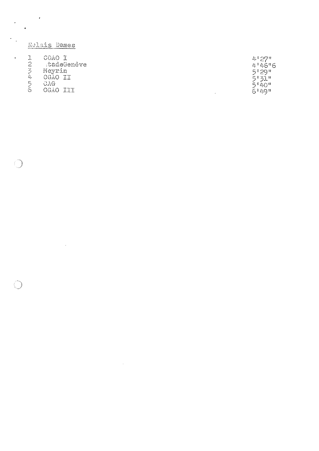| $\bullet$ |                                            | Relais Dames<br>PSP (STRPP) CREATER IN CONTRACTOR COMMUNICATION CONTRACTOR COMMUNICATION |                                                      |
|-----------|--------------------------------------------|------------------------------------------------------------------------------------------|------------------------------------------------------|
|           | 2<br>$\mathcal{L}_\zeta$<br>Д,<br>二<br>رنا | CGAO I<br>tadeGenève<br>Meyrin<br>CGAO II<br>GAG<br>CGAO III                             | 4:27"<br>4146"6<br>5°29"<br>5°31"<br>5°40"<br>6 49 " |

 $\label{eq:2.1} \frac{1}{\sqrt{2}}\left(\frac{1}{\sqrt{2}}\right)^{2} \left(\frac{1}{\sqrt{2}}\right)^{2} \left(\frac{1}{\sqrt{2}}\right)^{2} \left(\frac{1}{\sqrt{2}}\right)^{2} \left(\frac{1}{\sqrt{2}}\right)^{2} \left(\frac{1}{\sqrt{2}}\right)^{2} \left(\frac{1}{\sqrt{2}}\right)^{2} \left(\frac{1}{\sqrt{2}}\right)^{2} \left(\frac{1}{\sqrt{2}}\right)^{2} \left(\frac{1}{\sqrt{2}}\right)^{2} \left(\frac{1}{\sqrt{2}}\right)^{2} \left(\$ 

 $\label{eq:2.1} \frac{1}{\sqrt{2}}\int_{\mathbb{R}^3}\frac{1}{\sqrt{2}}\left(\frac{1}{\sqrt{2}}\right)^2\frac{1}{\sqrt{2}}\left(\frac{1}{\sqrt{2}}\right)^2\frac{1}{\sqrt{2}}\left(\frac{1}{\sqrt{2}}\right)^2\frac{1}{\sqrt{2}}\left(\frac{1}{\sqrt{2}}\right)^2.$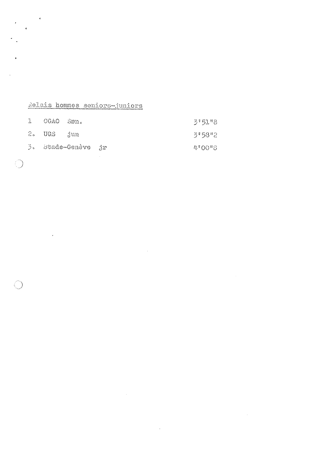## Relais hommes seniors-juniors

 $\sim$   $\sim$ 

 $\overline{4}$ 

 $\mathcal{L}$ 

4

| 1 GGAO SEn.           |                    |  | 3'51''8 |
|-----------------------|--------------------|--|---------|
| $2.$ UGS $\dot{1}$ un |                    |  | 3"58"2  |
|                       | 3. Stade-Genève jr |  | 4°00°8  |

 $\sim$ 

 $\mathcal{L}^{\text{max}}$